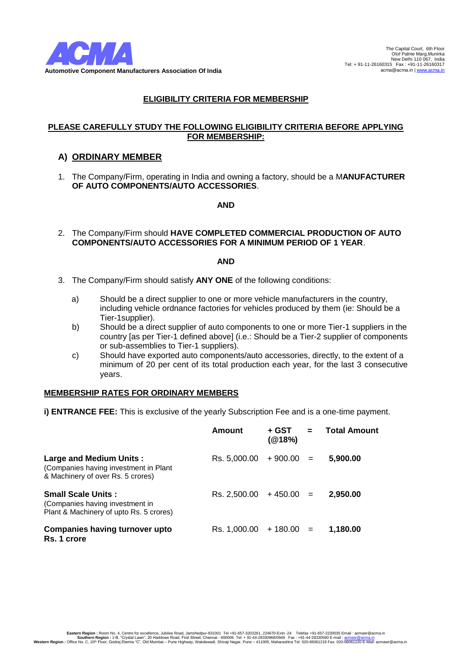

#### **PLEASE CAREFULLY STUDY THE FOLLOWING ELIGIBILITY CRITERIA BEFORE APPLYING FOR MEMBERSHIP:**

## **A) ORDINARY MEMBER**

1. The Company/Firm, operating in India and owning a factory, should be a M**ANUFACTURER OF AUTO COMPONENTS/AUTO ACCESSORIES**.

#### **AND**

2. The Company/Firm should **HAVE COMPLETED COMMERCIAL PRODUCTION OF AUTO COMPONENTS/AUTO ACCESSORIES FOR A MINIMUM PERIOD OF 1 YEAR**.

## **AND**

- 3. The Company/Firm should satisfy **ANY ONE** of the following conditions:
	- a) Should be a direct supplier to one or more vehicle manufacturers in the country, including vehicle ordnance factories for vehicles produced by them (ie: Should be a Tier-1supplier).
	- b) Should be a direct supplier of auto components to one or more Tier-1 suppliers in the country [as per Tier-1 defined above] (i.e.: Should be a Tier-2 supplier of components or sub-assemblies to Tier-1 suppliers).
	- c) Should have exported auto components/auto accessories, directly, to the extent of a minimum of 20 per cent of its total production each year, for the last 3 consecutive years.

#### **MEMBERSHIP RATES FOR ORDINARY MEMBERS**

**i) ENTRANCE FEE:** This is exclusive of the yearly Subscription Fee and is a one-time payment.

|                                                                                                         | Amount                    | + GST<br>(@18%) | $\mathbf{r}$ | <b>Total Amount</b> |
|---------------------------------------------------------------------------------------------------------|---------------------------|-----------------|--------------|---------------------|
| Large and Medium Units:<br>(Companies having investment in Plant<br>& Machinery of over Rs. 5 crores)   | $Rs. 5,000.00 + 900.00 =$ |                 |              | 5,900.00            |
| <b>Small Scale Units:</b><br>(Companies having investment in<br>Plant & Machinery of upto Rs. 5 crores) | $Rs. 2,500.00 + 450.00 =$ |                 |              | 2.950.00            |
| <b>Companies having turnover upto</b><br>Rs. 1 crore                                                    | $Rs. 1,000.00 + 180.00 =$ |                 |              | 1.180.00            |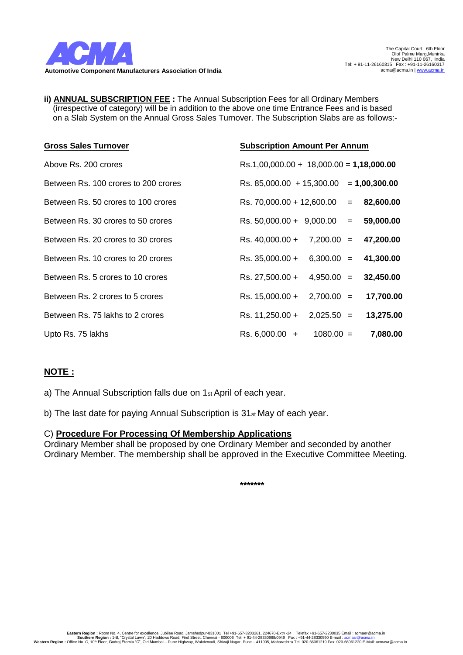

**ii) ANNUAL SUBSCRIPTION FEE :** The Annual Subscription Fees for all Ordinary Members (irrespective of category) will be in addition to the above one time Entrance Fees and is based on a Slab System on the Annual Gross Sales Turnover. The Subscription Slabs are as follows:-

| <b>Gross Sales Turnover</b>          | <b>Subscription Amount Per Annum</b>         |
|--------------------------------------|----------------------------------------------|
| Above Rs. 200 crores                 | $Rs.1,00,000.00 + 18,000.00 = 1,18,000.00$   |
| Between Rs. 100 crores to 200 crores | Rs. 85,000.00 + 15,300.00 = 1,00,300.00      |
| Between Rs. 50 crores to 100 crores  | Rs. 70,000.00 + 12,600.00 = 82,600.00        |
| Between Rs. 30 crores to 50 crores   | Rs. $50,000.00 + 9,000.00 = 59,000.00$       |
| Between Rs. 20 crores to 30 crores   | Rs. $40,000.00 + 7,200.00 = 47,200.00$       |
| Between Rs. 10 crores to 20 crores   | Rs. $35,000.00 + 6,300.00 = 41,300.00$       |
| Between Rs. 5 crores to 10 crores    | Rs. 27,500.00 +<br>$4,950.00 = 32,450.00$    |
| Between Rs. 2 crores to 5 crores     | $2,700.00 =$<br>Rs. 15,000.00 +<br>17,700.00 |
| Between Rs. 75 lakhs to 2 crores     | Rs. 11,250.00 +<br>$2,025.50 = 13,275.00$    |
| Upto Rs. 75 lakhs                    | $Rs. 6,000.00 +$<br>$1080.00 =$<br>7,080.00  |

# **NOTE :**

a) The Annual Subscription falls due on 1st April of each year.

b) The last date for paying Annual Subscription is 31st May of each year.

# C) **Procedure For Processing Of Membership Applications**

Ordinary Member shall be proposed by one Ordinary Member and seconded by another Ordinary Member. The membership shall be approved in the Executive Committee Meeting.

**\*\*\*\*\*\*\***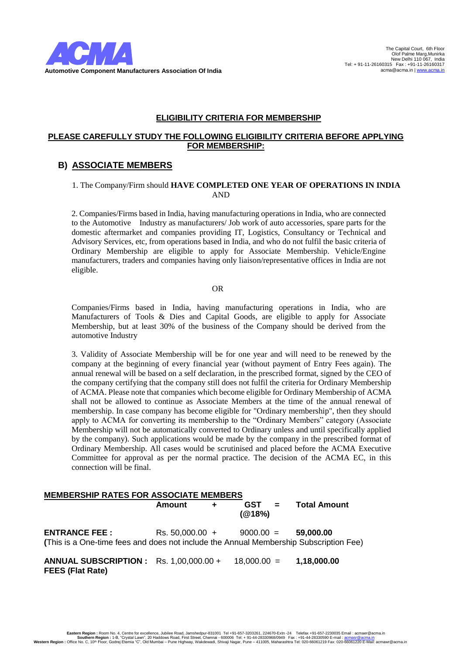

#### **PLEASE CAREFULLY STUDY THE FOLLOWING ELIGIBILITY CRITERIA BEFORE APPLYING FOR MEMBERSHIP:**

# **B) ASSOCIATE MEMBERS**

## 1. The Company/Firm should **HAVE COMPLETED ONE YEAR OF OPERATIONS IN INDIA** AND

2. Companies/Firms based in India, having manufacturing operations in India, who are connected to the Automotive Industry as manufacturers/ Job work of auto accessories, spare parts for the domestic aftermarket and companies providing IT, Logistics, Consultancy or Technical and Advisory Services, etc, from operations based in India, and who do not fulfil the basic criteria of Ordinary Membership are eligible to apply for Associate Membership. Vehicle/Engine manufacturers, traders and companies having only liaison/representative offices in India are not eligible.

#### OR

Companies/Firms based in India, having manufacturing operations in India, who are Manufacturers of Tools & Dies and Capital Goods, are eligible to apply for Associate Membership, but at least 30% of the business of the Company should be derived from the automotive Industry

3. Validity of Associate Membership will be for one year and will need to be renewed by the company at the beginning of every financial year (without payment of Entry Fees again). The annual renewal will be based on a self declaration, in the prescribed format, signed by the CEO of the company certifying that the company still does not fulfil the criteria for Ordinary Membership of ACMA. Please note that companies which become eligible for Ordinary Membership of ACMA shall not be allowed to continue as Associate Members at the time of the annual renewal of membership. In case company has become eligible for "Ordinary membership", then they should apply to ACMA for converting its membership to the "Ordinary Members" category (Associate Membership will not be automatically converted to Ordinary unless and until specifically applied by the company). Such applications would be made by the company in the prescribed format of Ordinary Membership. All cases would be scrutinised and placed before the ACMA Executive Committee for approval as per the normal practice. The decision of the ACMA EC, in this connection will be final.

| <b>MEMBERSHIP RATES FOR ASSOCIATE MEMBERS</b>                                                                                                     |        |       |                  |  |                           |  |
|---------------------------------------------------------------------------------------------------------------------------------------------------|--------|-------|------------------|--|---------------------------|--|
|                                                                                                                                                   | Amount | $\pm$ | $GST =$<br>(@18% |  | <b>Total Amount</b>       |  |
| <b>ENTRANCE FEE:</b> Rs. 50,000.00 + 9000.00 = 59,000.00<br>(This is a One-time fees and does not include the Annual Membership Subscription Fee) |        |       |                  |  |                           |  |
| <b>ANNUAL SUBSCRIPTION:</b> Rs. 1,00,000.00 +<br><b>FEES (Flat Rate)</b>                                                                          |        |       |                  |  | $18,000.00 = 1,18,000.00$ |  |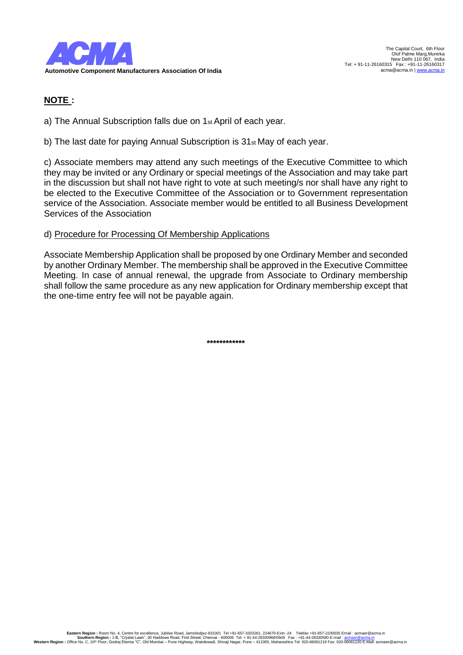

# **NOTE :**

a) The Annual Subscription falls due on 1st April of each year.

b) The last date for paying Annual Subscription is 31st May of each year.

c) Associate members may attend any such meetings of the Executive Committee to which they may be invited or any Ordinary or special meetings of the Association and may take part in the discussion but shall not have right to vote at such meeting/s nor shall have any right to be elected to the Executive Committee of the Association or to Government representation service of the Association. Associate member would be entitled to all Business Development Services of the Association

# d) Procedure for Processing Of Membership Applications

Associate Membership Application shall be proposed by one Ordinary Member and seconded by another Ordinary Member. The membership shall be approved in the Executive Committee Meeting. In case of annual renewal, the upgrade from Associate to Ordinary membership shall follow the same procedure as any new application for Ordinary membership except that the one-time entry fee will not be payable again.

**\*\*\*\*\*\*\*\*\*\*\*\***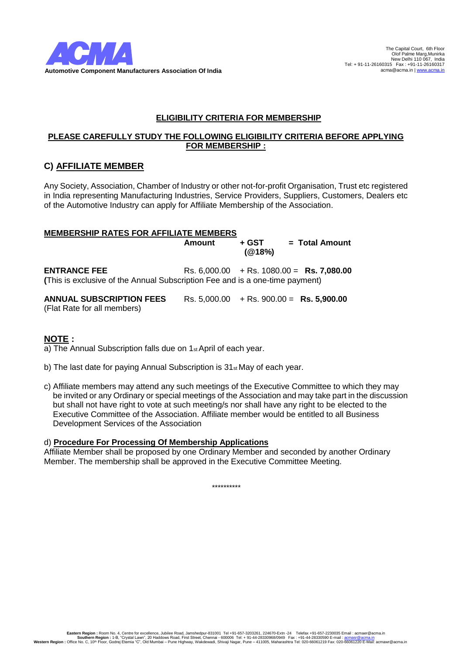

## **PLEASE CAREFULLY STUDY THE FOLLOWING ELIGIBILITY CRITERIA BEFORE APPLYING FOR MEMBERSHIP :**

# **C) AFFILIATE MEMBER**

Any Society, Association, Chamber of Industry or other not-for-profit Organisation, Trust etc registered in India representing Manufacturing Industries, Service Providers, Suppliers, Customers, Dealers etc of the Automotive Industry can apply for Affiliate Membership of the Association.

#### **MEMBERSHIP RATES FOR AFFILIATE MEMBERS**

**Amount + GST = Total Amount (@18%)**

**ENTRANCE FEE** Rs. 6,000.00 + Rs. 1080.00 = **Rs. 7,080.00 (**This is exclusive of the Annual Subscription Fee and is a one-time payment)

**ANNUAL SUBSCRIPTION FEES** Rs. 5,000.00 + Rs. 900.00 = **Rs. 5,900.00** (Flat Rate for all members)

# **NOTE :**

a) The Annual Subscription falls due on 1<sup>st</sup> April of each year.

- b) The last date for paying Annual Subscription is 31st May of each year.
- c) Affiliate members may attend any such meetings of the Executive Committee to which they may be invited or any Ordinary or special meetings of the Association and may take part in the discussion but shall not have right to vote at such meeting/s nor shall have any right to be elected to the Executive Committee of the Association. Affiliate member would be entitled to all Business Development Services of the Association

#### d) **Procedure For Processing Of Membership Applications**

Affiliate Member shall be proposed by one Ordinary Member and seconded by another Ordinary Member. The membership shall be approved in the Executive Committee Meeting.

\*\*\*\*\*\*\*\*\*\*